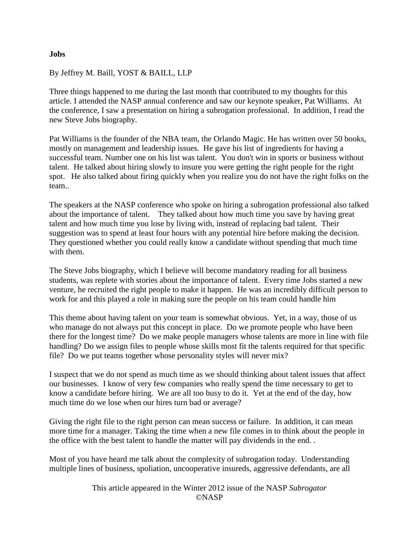## **Jobs**

## By Jeffrey M. Baill, YOST & BAILL, LLP

Three things happened to me during the last month that contributed to my thoughts for this article. I attended the NASP annual conference and saw our keynote speaker, Pat Williams. At the conference, I saw a presentation on hiring a subrogation professional. In addition, I read the new Steve Jobs biography.

Pat Williams is the founder of the NBA team, the Orlando Magic. He has written over 50 books, mostly on management and leadership issues. He gave his list of ingredients for having a successful team. Number one on his list was talent. You don't win in sports or business without talent. He talked about hiring slowly to insure you were getting the right people for the right spot. He also talked about firing quickly when you realize you do not have the right folks on the team..

The speakers at the NASP conference who spoke on hiring a subrogation professional also talked about the importance of talent. They talked about how much time you save by having great talent and how much time you lose by living with, instead of replacing bad talent. Their suggestion was to spend at least four hours with any potential hire before making the decision. They questioned whether you could really know a candidate without spending that much time with them.

The Steve Jobs biography, which I believe will become mandatory reading for all business students, was replete with stories about the importance of talent. Every time Jobs started a new venture, he recruited the right people to make it happen. He was an incredibly difficult person to work for and this played a role in making sure the people on his team could handle him

This theme about having talent on your team is somewhat obvious. Yet, in a way, those of us who manage do not always put this concept in place. Do we promote people who have been there for the longest time? Do we make people managers whose talents are more in line with file handling? Do we assign files to people whose skills most fit the talents required for that specific file? Do we put teams together whose personality styles will never mix?

I suspect that we do not spend as much time as we should thinking about talent issues that affect our businesses. I know of very few companies who really spend the time necessary to get to know a candidate before hiring. We are all too busy to do it. Yet at the end of the day, how much time do we lose when our hires turn bad or average?

Giving the right file to the right person can mean success or failure. In addition, it can mean more time for a manager. Taking the time when a new file comes in to think about the people in the office with the best talent to handle the matter will pay dividends in the end. .

Most of you have heard me talk about the complexity of subrogation today. Understanding multiple lines of business, spoliation, uncooperative insureds, aggressive defendants, are all

> This article appeared in the Winter 2012 issue of the NASP *Subrogator* ©NASP